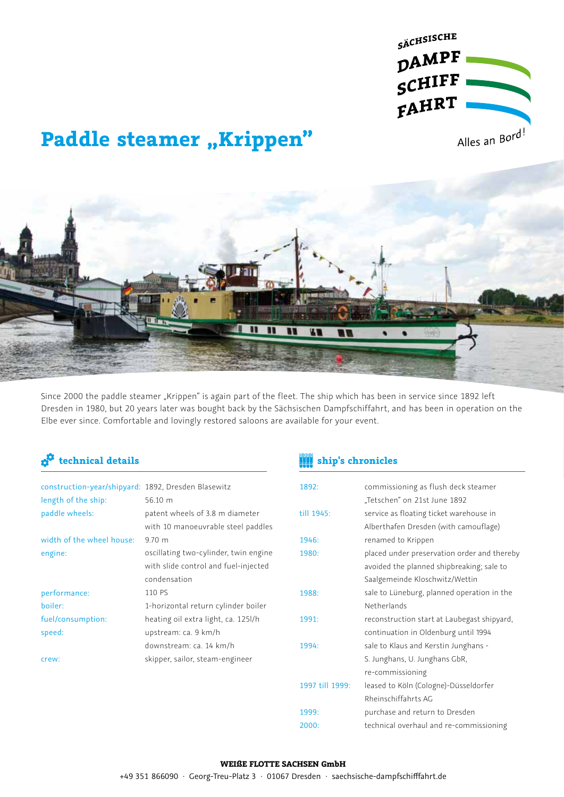

# **Paddle steamer "Krippen"**



Since 2000 the paddle steamer "Krippen" is again part of the fleet. The ship which has been in service since 1892 left Dresden in 1980, but 20 years later was bought back by the Sächsischen Dampfschiffahrt, and has been in operation on the Elbe ever since. Comfortable and lovingly restored saloons are available for your event.

| construction-year/shipyard: 1892, Dresden Blasewitz |                                       |
|-----------------------------------------------------|---------------------------------------|
| length of the ship:                                 | 56.10 m                               |
| paddle wheels:                                      | patent wheels of 3.8 m diameter       |
|                                                     | with 10 manoeuvrable steel paddles    |
| width of the wheel house:                           | 970 m                                 |
| engine:                                             | oscillating two-cylinder, twin engine |
|                                                     | with slide control and fuel-injected  |
|                                                     | condensation                          |
| performance:                                        | 110 PS                                |
| boiler:                                             | 1-horizontal return cylinder boiler   |
| fuel/consumption:                                   | heating oil extra light, ca. 125l/h   |
| speed:                                              | upstream: ca. 9 km/h                  |
|                                                     | downstream: ca. 14 km/h               |
| crew:                                               | skipper, sailor, steam-engineer       |
|                                                     |                                       |

## **technical details ship's chronicles**

| 1892:           | commissioning as flush deck steamer         |
|-----------------|---------------------------------------------|
|                 | "Tetschen" on 21st June 1892                |
|                 |                                             |
| till 1945:      | service as floating ticket warehouse in     |
|                 | Alberthafen Dresden (with camouflage)       |
| 1946:           | renamed to Krippen                          |
| 1980:           | placed under preservation order and thereby |
|                 | avoided the planned shipbreaking; sale to   |
|                 | Saalgemeinde Kloschwitz/Wettin              |
| 1988:           | sale to Lüneburg, planned operation in the  |
|                 | Netherlands                                 |
| 1991:           | reconstruction start at Laubegast shipyard, |
|                 | continuation in Oldenburg until 1994        |
| 1994:           | sale to Klaus and Kerstin Junghans -        |
|                 | S. Junghans, U. Junghans GbR,               |
|                 | re-commissioning                            |
| 1997 till 1999: | leased to Köln (Cologne)-Düsseldorfer       |
|                 | Rheinschiffahrts AG                         |
| 1999:           | purchase and return to Dresden              |
| 2000:           | technical overhaul and re-commissioning     |
|                 |                                             |